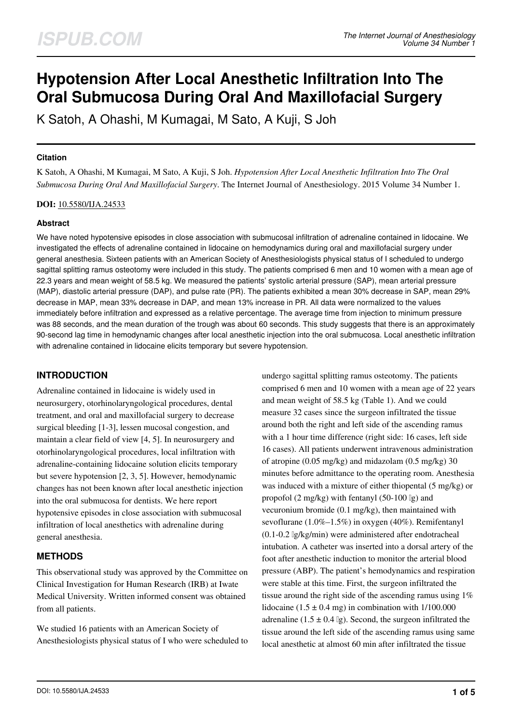# **Hypotension After Local Anesthetic Infiltration Into The Oral Submucosa During Oral And Maxillofacial Surgery**

K Satoh, A Ohashi, M Kumagai, M Sato, A Kuji, S Joh

## **Citation**

K Satoh, A Ohashi, M Kumagai, M Sato, A Kuji, S Joh. *Hypotension After Local Anesthetic Infiltration Into The Oral Submucosa During Oral And Maxillofacial Surgery*. The Internet Journal of Anesthesiology. 2015 Volume 34 Number 1.

#### **DOI:** [10.5580/IJA.24533](https://ispub.com/doi/10.5580/IJA.24533)

## **Abstract**

We have noted hypotensive episodes in close association with submucosal infiltration of adrenaline contained in lidocaine. We investigated the effects of adrenaline contained in lidocaine on hemodynamics during oral and maxillofacial surgery under general anesthesia. Sixteen patients with an American Society of Anesthesiologists physical status of I scheduled to undergo sagittal splitting ramus osteotomy were included in this study. The patients comprised 6 men and 10 women with a mean age of 22.3 years and mean weight of 58.5 kg. We measured the patients' systolic arterial pressure (SAP), mean arterial pressure (MAP), diastolic arterial pressure (DAP), and pulse rate (PR). The patients exhibited a mean 30% decrease in SAP, mean 29% decrease in MAP, mean 33% decrease in DAP, and mean 13% increase in PR. All data were normalized to the values immediately before infiltration and expressed as a relative percentage. The average time from injection to minimum pressure was 88 seconds, and the mean duration of the trough was about 60 seconds. This study suggests that there is an approximately 90-second lag time in hemodynamic changes after local anesthetic injection into the oral submucosa. Local anesthetic infiltration with adrenaline contained in lidocaine elicits temporary but severe hypotension.

# **INTRODUCTION**

Adrenaline contained in lidocaine is widely used in neurosurgery, otorhinolaryngological procedures, dental treatment, and oral and maxillofacial surgery to decrease surgical bleeding [1-3], lessen mucosal congestion, and maintain a clear field of view [4, 5]. In neurosurgery and otorhinolaryngological procedures, local infiltration with adrenaline-containing lidocaine solution elicits temporary but severe hypotension [2, 3, 5]. However, hemodynamic changes has not been known after local anesthetic injection into the oral submucosa for dentists. We here report hypotensive episodes in close association with submucosal infiltration of local anesthetics with adrenaline during general anesthesia.

# **METHODS**

This observational study was approved by the Committee on Clinical Investigation for Human Research (IRB) at Iwate Medical University. Written informed consent was obtained from all patients.

We studied 16 patients with an American Society of Anesthesiologists physical status of I who were scheduled to

undergo sagittal splitting ramus osteotomy. The patients comprised 6 men and 10 women with a mean age of 22 years and mean weight of 58.5 kg (Table 1). And we could measure 32 cases since the surgeon infiltrated the tissue around both the right and left side of the ascending ramus with a 1 hour time difference (right side: 16 cases, left side 16 cases). All patients underwent intravenous administration of atropine (0.05 mg/kg) and midazolam (0.5 mg/kg) 30 minutes before admittance to the operating room. Anesthesia was induced with a mixture of either thiopental (5 mg/kg) or propofol (2 mg/kg) with fentanyl (50-100 μg) and vecuronium bromide (0.1 mg/kg), then maintained with sevoflurane (1.0%–1.5%) in oxygen (40%). Remifentanyl (0.1-0.2 μg/kg/min) were administered after endotracheal intubation. A catheter was inserted into a dorsal artery of the foot after anesthetic induction to monitor the arterial blood pressure (ABP). The patient's hemodynamics and respiration were stable at this time. First, the surgeon infiltrated the tissue around the right side of the ascending ramus using 1% lidocaine (1.5  $\pm$  0.4 mg) in combination with 1/100.000 adrenaline (1.5  $\pm$  0.4  $\lg$ ). Second, the surgeon infiltrated the tissue around the left side of the ascending ramus using same local anesthetic at almost 60 min after infiltrated the tissue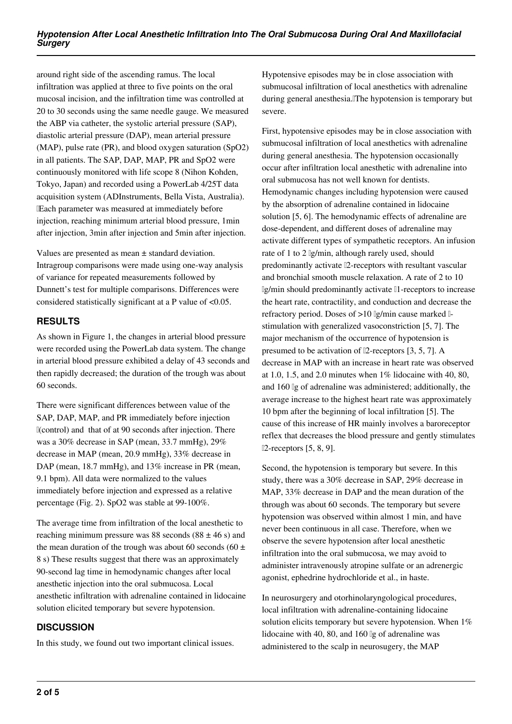around right side of the ascending ramus. The local infiltration was applied at three to five points on the oral mucosal incision, and the infiltration time was controlled at 20 to 30 seconds using the same needle gauge. We measured the ABP via catheter, the systolic arterial pressure (SAP), diastolic arterial pressure (DAP), mean arterial pressure (MAP), pulse rate (PR), and blood oxygen saturation (SpO2) in all patients. The SAP, DAP, MAP, PR and SpO2 were continuously monitored with life scope 8 (Nihon Kohden, Tokyo, Japan) and recorded using a PowerLab 4/25T data acquisition system (ADInstruments, Bella Vista, Australia). Each parameter was measured at immediately before injection, reaching minimum arterial blood pressure, 1min after injection, 3min after injection and 5min after injection.

Values are presented as mean ± standard deviation. Intragroup comparisons were made using one-way analysis of variance for repeated measurements followed by Dunnett's test for multiple comparisons. Differences were considered statistically significant at a P value of <0.05.

# **RESULTS**

As shown in Figure 1, the changes in arterial blood pressure were recorded using the PowerLab data system. The change in arterial blood pressure exhibited a delay of 43 seconds and then rapidly decreased; the duration of the trough was about 60 seconds.

There were significant differences between value of the SAP, DAP, MAP, and PR immediately before injection (control) and that of at 90 seconds after injection. There was a 30% decrease in SAP (mean, 33.7 mmHg), 29% decrease in MAP (mean, 20.9 mmHg), 33% decrease in DAP (mean, 18.7 mmHg), and 13% increase in PR (mean, 9.1 bpm). All data were normalized to the values immediately before injection and expressed as a relative percentage (Fig. 2). SpO2 was stable at 99-100%.

The average time from infiltration of the local anesthetic to reaching minimum pressure was 88 seconds  $(88 \pm 46 \text{ s})$  and the mean duration of the trough was about 60 seconds (60  $\pm$ 8 s) These results suggest that there was an approximately 90-second lag time in hemodynamic changes after local anesthetic injection into the oral submucosa. Local anesthetic infiltration with adrenaline contained in lidocaine solution elicited temporary but severe hypotension.

# **DISCUSSION**

In this study, we found out two important clinical issues.

Hypotensive episodes may be in close association with submucosal infiltration of local anesthetics with adrenaline during general anesthesia. The hypotension is temporary but severe.

First, hypotensive episodes may be in close association with submucosal infiltration of local anesthetics with adrenaline during general anesthesia. The hypotension occasionally occur after infiltration local anesthetic with adrenaline into oral submucosa has not well known for dentists. Hemodynamic changes including hypotension were caused by the absorption of adrenaline contained in lidocaine solution [5, 6]. The hemodynamic effects of adrenaline are dose-dependent, and different doses of adrenaline may activate different types of sympathetic receptors. An infusion rate of 1 to 2 μg/min, although rarely used, should predominantly activate β2-receptors with resultant vascular and bronchial smooth muscle relaxation. A rate of 2 to 10 μg/min should predominantly activate β1-receptors to increase the heart rate, contractility, and conduction and decrease the refractory period. Doses of  $>10$  lg/min cause marked lstimulation with generalized vasoconstriction [5, 7]. The major mechanism of the occurrence of hypotension is presumed to be activation of β2-receptors [3, 5, 7]. A decrease in MAP with an increase in heart rate was observed at 1.0, 1.5, and 2.0 minutes when  $1\%$  lidocaine with 40, 80, and 160 μg of adrenaline was administered; additionally, the average increase to the highest heart rate was approximately 10 bpm after the beginning of local infiltration [5]. The cause of this increase of HR mainly involves a baroreceptor reflex that decreases the blood pressure and gently stimulates β2-receptors [5, 8, 9].

Second, the hypotension is temporary but severe. In this study, there was a 30% decrease in SAP, 29% decrease in MAP, 33% decrease in DAP and the mean duration of the through was about 60 seconds. The temporary but severe hypotension was observed within almost 1 min, and have never been continuous in all case. Therefore, when we observe the severe hypotension after local anesthetic infiltration into the oral submucosa, we may avoid to administer intravenously atropine sulfate or an adrenergic agonist, ephedrine hydrochloride et al., in haste.

In neurosurgery and otorhinolaryngological procedures, local infiltration with adrenaline-containing lidocaine solution elicits temporary but severe hypotension. When 1% lidocaine with 40, 80, and 160 μg of adrenaline was administered to the scalp in neurosugery, the MAP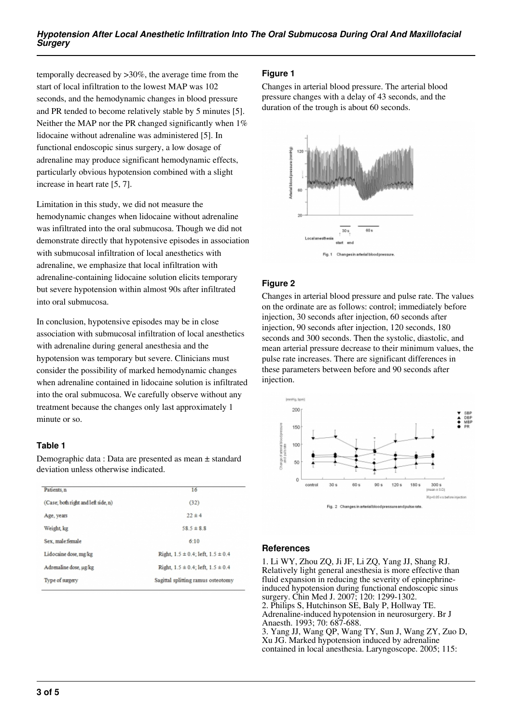temporally decreased by >30%, the average time from the start of local infiltration to the lowest MAP was 102 seconds, and the hemodynamic changes in blood pressure and PR tended to become relatively stable by 5 minutes [5]. Neither the MAP nor the PR changed significantly when  $1\%$ lidocaine without adrenaline was administered [5]. In functional endoscopic sinus surgery, a low dosage of adrenaline may produce significant hemodynamic effects, particularly obvious hypotension combined with a slight increase in heart rate [5, 7].

Limitation in this study, we did not measure the hemodynamic changes when lidocaine without adrenaline was infiltrated into the oral submucosa. Though we did not demonstrate directly that hypotensive episodes in association with submucosal infiltration of local anesthetics with adrenaline, we emphasize that local infiltration with adrenaline-containing lidocaine solution elicits temporary but severe hypotension within almost 90s after infiltrated into oral submucosa.

In conclusion, hypotensive episodes may be in close association with submucosal infiltration of local anesthetics with adrenaline during general anesthesia and the hypotension was temporary but severe. Clinicians must consider the possibility of marked hemodynamic changes when adrenaline contained in lidocaine solution is infiltrated into the oral submucosa. We carefully observe without any treatment because the changes only last approximately 1 minute or so.

## **Table 1**

Demographic data : Data are presented as mean ± standard deviation unless otherwise indicated.

| Patients, n                         | 16                                         |
|-------------------------------------|--------------------------------------------|
| (Case; both right and left side, n) | (32)                                       |
| Age, years                          | $22 \pm 4$                                 |
| Weight kg                           | $58.5 \pm 8.8$                             |
| Sex. male:female                    | 6:10                                       |
| Lidocaine dose, mg/kg               | Right, $1.5 \pm 0.4$ ; left, $1.5 \pm 0.4$ |
| Adrenaline dose, µg/kg              | Right, $1.5 \pm 0.4$ ; left, $1.5 \pm 0.4$ |
| Type of surgery                     | Sagittal splitting ramus osteotomy         |
|                                     |                                            |

## **Figure 1**

Changes in arterial blood pressure. The arterial blood pressure changes with a delay of 43 seconds, and the duration of the trough is about 60 seconds.



## **Figure 2**

Changes in arterial blood pressure and pulse rate. The values on the ordinate are as follows: control; immediately before injection, 30 seconds after injection, 60 seconds after injection, 90 seconds after injection, 120 seconds, 180 seconds and 300 seconds. Then the systolic, diastolic, and mean arterial pressure decrease to their minimum values, the pulse rate increases. There are significant differences in these parameters between before and 90 seconds after injection.



#### **References**

1. Li WY, Zhou ZQ, Ji JF, Li ZQ, Yang JJ, Shang RJ. Relatively light general anesthesia is more effective than fluid expansion in reducing the severity of epinephrineinduced hypotension during functional endoscopic sinus surgery. Chin Med J. 2007; 120: 1299-1302. 2. Philips S, Hutchinson SE, Baly P, Hollway TE. Adrenaline-induced hypotension in neurosurgery. Br J Anaesth. 1993; 70: 687-688.

3. Yang JJ, Wang QP, Wang TY, Sun J, Wang ZY, Zuo D, Xu JG. Marked hypotension induced by adrenaline contained in local anesthesia. Laryngoscope. 2005; 115: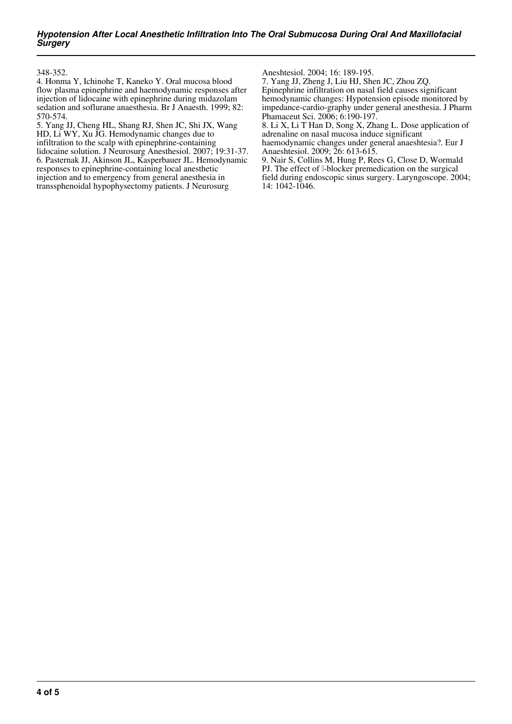348-352.

4. Honma Y, Ichinohe T, Kaneko Y. Oral mucosa blood flow plasma epinephrine and haemodynamic responses after injection of lidocaine with epinephrine during midazolam sedation and soflurane anaesthesia. Br J Anaesth. 1999; 82: 570-574.

5. Yang JJ, Cheng HL, Shang RJ, Shen JC, Shi JX, Wang HD, Li WY, Xu JG. Hemodynamic changes due to infiltration to the scalp with epinephrine-containing lidocaine solution. J Neurosurg Anesthesiol. 2007; 19:31-37. 6. Pasternak JJ, Akinson JL, Kasperbauer JL. Hemodynamic responses to epinephrine-containing local anesthetic injection and to emergency from general anesthesia in transsphenoidal hypophysectomy patients. J Neurosurg

Aneshtesiol. 2004; 16: 189-195.

7. Yang JJ, Zheng J, Liu HJ, Shen JC, Zhou ZQ. Epinephrine infiltration on nasal field causes significant hemodynamic changes: Hypotension episode monitored by impedance-cardio-graphy under general anesthesia. J Pharm Phamaceut Sci. 2006; 6:190-197.

8. Li X, Li T Han D, Song X, Zhang L. Dose application of adrenaline on nasal mucosa induce significant haemodynamic changes under general anaeshtesia?. Eur J

Anaeshtesiol. 2009; 26: 613-615. 9. Nair S, Collins M, Hung P, Rees G, Close D, Wormald PJ. The effect of *β*-blocker premedication on the surgical field during endoscopic sinus surgery. Laryngoscope. 2004; 14: 1042-1046.